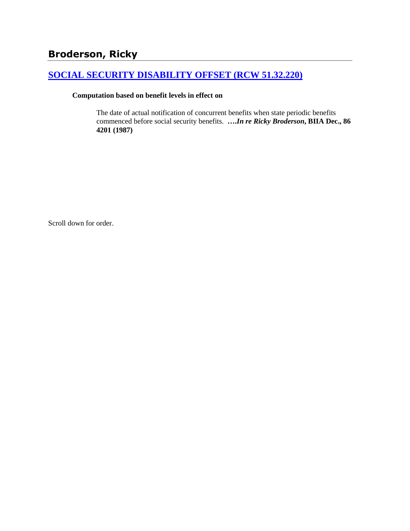# **[SOCIAL SECURITY DISABILITY OFFSET \(RCW 51.32.220\)](http://www.biia.wa.gov/SDSubjectIndex.html#SOCIAL_SECURITY_DISABILITY_OFFSET)**

### **Computation based on benefit levels in effect on**

The date of actual notification of concurrent benefits when state periodic benefits commenced before social security benefits. **….***In re Ricky Broderson***, BIIA Dec., 86 4201 (1987)** 

Scroll down for order.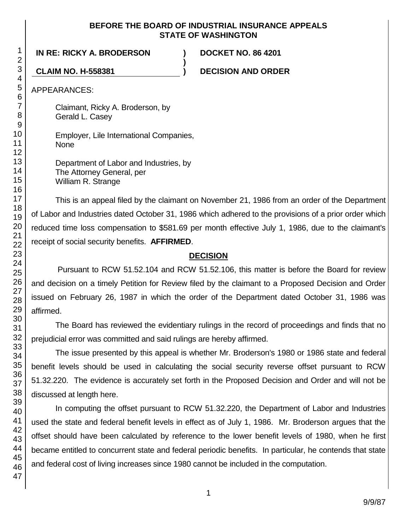### **BEFORE THE BOARD OF INDUSTRIAL INSURANCE APPEALS STATE OF WASHINGTON**

**)**

**IN RE: RICKY A. BRODERSON ) DOCKET NO. 86 4201**

**CLAIM NO. H-558381 ) DECISION AND ORDER**

APPEARANCES:

Claimant, Ricky A. Broderson, by Gerald L. Casey

Employer, Lile International Companies, None

Department of Labor and Industries, by The Attorney General, per William R. Strange

This is an appeal filed by the claimant on November 21, 1986 from an order of the Department of Labor and Industries dated October 31, 1986 which adhered to the provisions of a prior order which reduced time loss compensation to \$581.69 per month effective July 1, 1986, due to the claimant's receipt of social security benefits. **AFFIRMED**.

# **DECISION**

Pursuant to RCW 51.52.104 and RCW 51.52.106, this matter is before the Board for review and decision on a timely Petition for Review filed by the claimant to a Proposed Decision and Order issued on February 26, 1987 in which the order of the Department dated October 31, 1986 was affirmed.

The Board has reviewed the evidentiary rulings in the record of proceedings and finds that no prejudicial error was committed and said rulings are hereby affirmed.

The issue presented by this appeal is whether Mr. Broderson's 1980 or 1986 state and federal benefit levels should be used in calculating the social security reverse offset pursuant to RCW 51.32.220. The evidence is accurately set forth in the Proposed Decision and Order and will not be discussed at length here.

In computing the offset pursuant to RCW 51.32.220, the Department of Labor and Industries used the state and federal benefit levels in effect as of July 1, 1986. Mr. Broderson argues that the offset should have been calculated by reference to the lower benefit levels of 1980, when he first became entitled to concurrent state and federal periodic benefits. In particular, he contends that state and federal cost of living increases since 1980 cannot be included in the computation.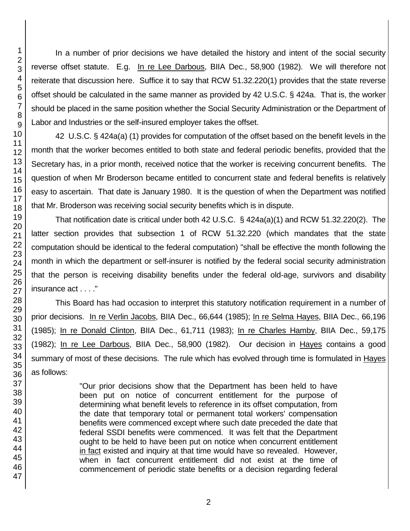In a number of prior decisions we have detailed the history and intent of the social security reverse offset statute. E.g. In re Lee Darbous, BIIA Dec., 58,900 (1982). We will therefore not reiterate that discussion here. Suffice it to say that RCW 51.32.220(1) provides that the state reverse offset should be calculated in the same manner as provided by 42 U.S.C. § 424a. That is, the worker should be placed in the same position whether the Social Security Administration or the Department of Labor and Industries or the self-insured employer takes the offset.

42 U.S.C. § 424a(a) (1) provides for computation of the offset based on the benefit levels in the month that the worker becomes entitled to both state and federal periodic benefits, provided that the Secretary has, in a prior month, received notice that the worker is receiving concurrent benefits. The question of when Mr Broderson became entitled to concurrent state and federal benefits is relatively easy to ascertain. That date is January 1980. It is the question of when the Department was notified that Mr. Broderson was receiving social security benefits which is in dispute.

That notification date is critical under both 42 U.S.C. § 424a(a)(1) and RCW 51.32.220(2). The latter section provides that subsection 1 of RCW 51.32.220 (which mandates that the state computation should be identical to the federal computation) "shall be effective the month following the month in which the department or self-insurer is notified by the federal social security administration that the person is receiving disability benefits under the federal old-age, survivors and disability insurance act . . . ."

This Board has had occasion to interpret this statutory notification requirement in a number of prior decisions. In re Verlin Jacobs, BIIA Dec., 66,644 (1985); In re Selma Hayes, BIIA Dec., 66,196 (1985); In re Donald Clinton, BIIA Dec., 61,711 (1983); In re Charles Hamby, BIIA Dec., 59,175 (1982); In re Lee Darbous, BIIA Dec., 58,900 (1982). Our decision in Hayes contains a good summary of most of these decisions. The rule which has evolved through time is formulated in Hayes as follows:

> "Our prior decisions show that the Department has been held to have been put on notice of concurrent entitlement for the purpose of determining what benefit levels to reference in its offset computation, from the date that temporary total or permanent total workers' compensation benefits were commenced except where such date preceded the date that federal SSDI benefits were commenced. It was felt that the Department ought to be held to have been put on notice when concurrent entitlement in fact existed and inquiry at that time would have so revealed. However, when in fact concurrent entitlement did not exist at the time of commencement of periodic state benefits or a decision regarding federal

47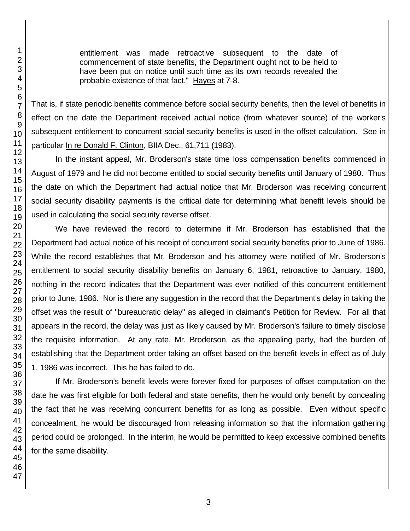entitlement was made retroactive subsequent to the date of commencement of state benefits, the Department ought not to be held to have been put on notice until such time as its own records revealed the probable existence of that fact." Hayes at 7-8.

That is, if state periodic benefits commence before social security benefits, then the level of benefits in effect on the date the Department received actual notice (from whatever source) of the worker's subsequent entitlement to concurrent social security benefits is used in the offset calculation. See in particular In re Donald F. Clinton, BIIA Dec., 61,711 (1983).

In the instant appeal, Mr. Broderson's state time loss compensation benefits commenced in August of 1979 and he did not become entitled to social security benefits until January of 1980. Thus the date on which the Department had actual notice that Mr. Broderson was receiving concurrent social security disability payments is the critical date for determining what benefit levels should be used in calculating the social security reverse offset.

We have reviewed the record to determine if Mr. Broderson has established that the Department had actual notice of his receipt of concurrent social security benefits prior to June of 1986. While the record establishes that Mr. Broderson and his attorney were notified of Mr. Broderson's entitlement to social security disability benefits on January 6, 1981, retroactive to January, 1980, nothing in the record indicates that the Department was ever notified of this concurrent entitlement prior to June, 1986. Nor is there any suggestion in the record that the Department's delay in taking the offset was the result of "bureaucratic delay" as alleged in claimant's Petition for Review. For all that appears in the record, the delay was just as likely caused by Mr. Broderson's failure to timely disclose the requisite information. At any rate, Mr. Broderson, as the appealing party, had the burden of establishing that the Department order taking an offset based on the benefit levels in effect as of July 1, 1986 was incorrect. This he has failed to do.

If Mr. Broderson's benefit levels were forever fixed for purposes of offset computation on the date he was first eligible for both federal and state benefits, then he would only benefit by concealing the fact that he was receiving concurrent benefits for as long as possible. Even without specific concealment, he would be discouraged from releasing information so that the information gathering period could be prolonged. In the interim, he would be permitted to keep excessive combined benefits for the same disability.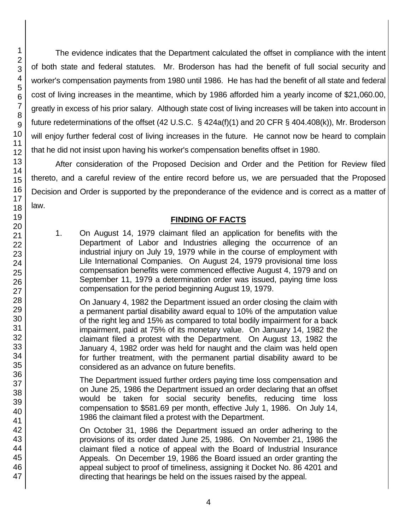The evidence indicates that the Department calculated the offset in compliance with the intent of both state and federal statutes. Mr. Broderson has had the benefit of full social security and worker's compensation payments from 1980 until 1986. He has had the benefit of all state and federal cost of living increases in the meantime, which by 1986 afforded him a yearly income of \$21,060.00, greatly in excess of his prior salary. Although state cost of living increases will be taken into account in future redeterminations of the offset (42 U.S.C. § 424a(f)(1) and 20 CFR § 404.408(k)), Mr. Broderson will enjoy further federal cost of living increases in the future. He cannot now be heard to complain that he did not insist upon having his worker's compensation benefits offset in 1980.

After consideration of the Proposed Decision and Order and the Petition for Review filed thereto, and a careful review of the entire record before us, we are persuaded that the Proposed Decision and Order is supported by the preponderance of the evidence and is correct as a matter of

# **FINDING OF FACTS**

1. On August 14, 1979 claimant filed an application for benefits with the Department of Labor and Industries alleging the occurrence of an industrial injury on July 19, 1979 while in the course of employment with Lile International Companies. On August 24, 1979 provisional time loss compensation benefits were commenced effective August 4, 1979 and on September 11, 1979 a determination order was issued, paying time loss compensation for the period beginning August 19, 1979.

On January 4, 1982 the Department issued an order closing the claim with a permanent partial disability award equal to 10% of the amputation value of the right leg and 15% as compared to total bodily impairment for a back impairment, paid at 75% of its monetary value. On January 14, 1982 the claimant filed a protest with the Department. On August 13, 1982 the January 4, 1982 order was held for naught and the claim was held open for further treatment, with the permanent partial disability award to be considered as an advance on future benefits.

The Department issued further orders paying time loss compensation and on June 25, 1986 the Department issued an order declaring that an offset would be taken for social security benefits, reducing time loss compensation to \$581.69 per month, effective July 1, 1986. On July 14, 1986 the claimant filed a protest with the Department.

On October 31, 1986 the Department issued an order adhering to the provisions of its order dated June 25, 1986. On November 21, 1986 the claimant filed a notice of appeal with the Board of Industrial Insurance Appeals. On December 19, 1986 the Board issued an order granting the appeal subject to proof of timeliness, assigning it Docket No. 86 4201 and directing that hearings be held on the issues raised by the appeal.